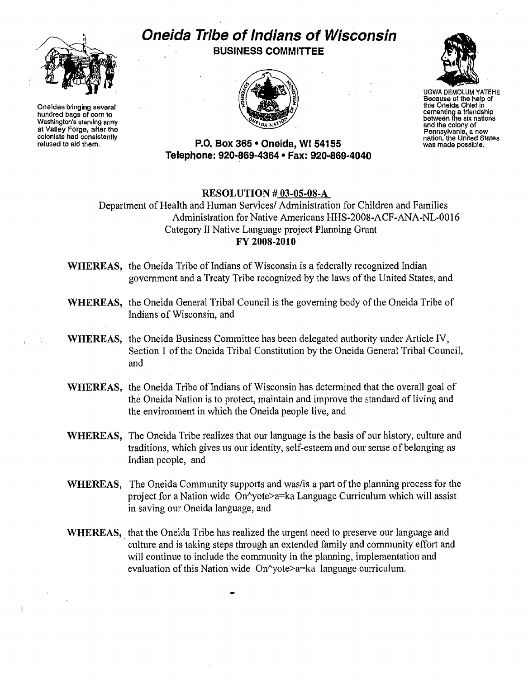

Oneidas bringing several hundred bags of com to Washington's starving army at Valley Forge, atter the colonists had conslstenlly refused to aid them.

## **Oneida Tribe of Indians of Wisconsin BUSINESS COMMITTEE**





UGWA DEMOLUM YATEHE this Oneida Chief in cementing a friendship between the six nallons and the colony of Pennsylvania, a new nation, the United Slates was made possible.

## **P.o. Box 365 • Oneida, WI 54155 Telephone: 920-869-4364 • Fax: 920-869-4040**

## RESOLUTION # 03-05-08-A

Department of Health and Human Services/ Administration for Children and Families Administration for Native Americans HHS-2008-ACF-ANA-NL-0016 Category II Native Language project Planning Grant FY 2008-2010

- WHEREAS, the Oneida Tribe of Indians of Wisconsin is a federally recognized Indian government and a Treaty Tribe recognized by the laws ofthe United States, and
- WHEREAS, the Oneida General Tribal Council is the governing body of the Oneida Tribe of Indians of Wisconsin, and
- WHEREAS, the Oneida Business Committee has been delegated authority under Article IV, Section 1 of the Oneida Tribal Constitution by the Oneida General Tribal Council, and
- WHEREAS, the Oneida Tribe of Indians of Wisconsin has determined that the overall goal of the Oneida Nation is to protect, maintain and improve the standard of living and the environment in which the Oneida people live, and
- WHEREAS, The Oneida Tribe realizes that our language is the basis of our history, culture and traditions, which gives us our identity, self-esteem and our sense of belonging as Indian people, and
- WHEREAS, The Oneida Community supports and was/is a part of the planning process for the project for a Nation wide On<sup> $\gamma$ </sup>yote>a=ka Language Curriculum which will assist in saving our Oneida language, and
- WHEREAS, that the Oneida Tribe has realized the urgent need to preserve our language and culture and is taking steps through an extended family and community effort and will continue to include the community in the planning, implementation and evaluation of this Nation wide On^yote>a=ka language curriculum.

•